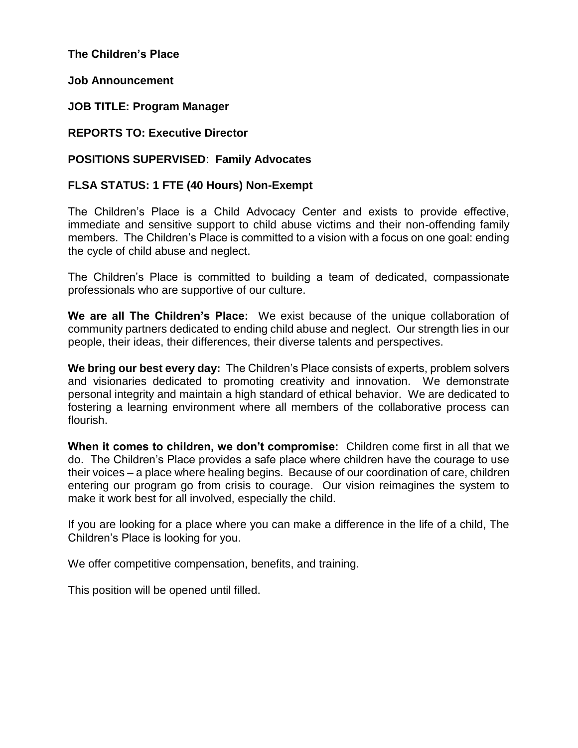**The Children's Place**

**Job Announcement**

**JOB TITLE: Program Manager**

**REPORTS TO: Executive Director**

### **POSITIONS SUPERVISED**: **Family Advocates**

### **FLSA STATUS: 1 FTE (40 Hours) Non-Exempt**

The Children's Place is a Child Advocacy Center and exists to provide effective, immediate and sensitive support to child abuse victims and their non-offending family members. The Children's Place is committed to a vision with a focus on one goal: ending the cycle of child abuse and neglect.

The Children's Place is committed to building a team of dedicated, compassionate professionals who are supportive of our culture.

**We are all The Children's Place:** We exist because of the unique collaboration of community partners dedicated to ending child abuse and neglect. Our strength lies in our people, their ideas, their differences, their diverse talents and perspectives.

**We bring our best every day:** The Children's Place consists of experts, problem solvers and visionaries dedicated to promoting creativity and innovation. We demonstrate personal integrity and maintain a high standard of ethical behavior. We are dedicated to fostering a learning environment where all members of the collaborative process can flourish.

**When it comes to children, we don't compromise:** Children come first in all that we do. The Children's Place provides a safe place where children have the courage to use their voices – a place where healing begins. Because of our coordination of care, children entering our program go from crisis to courage. Our vision reimagines the system to make it work best for all involved, especially the child.

If you are looking for a place where you can make a difference in the life of a child, The Children's Place is looking for you.

We offer competitive compensation, benefits, and training.

This position will be opened until filled.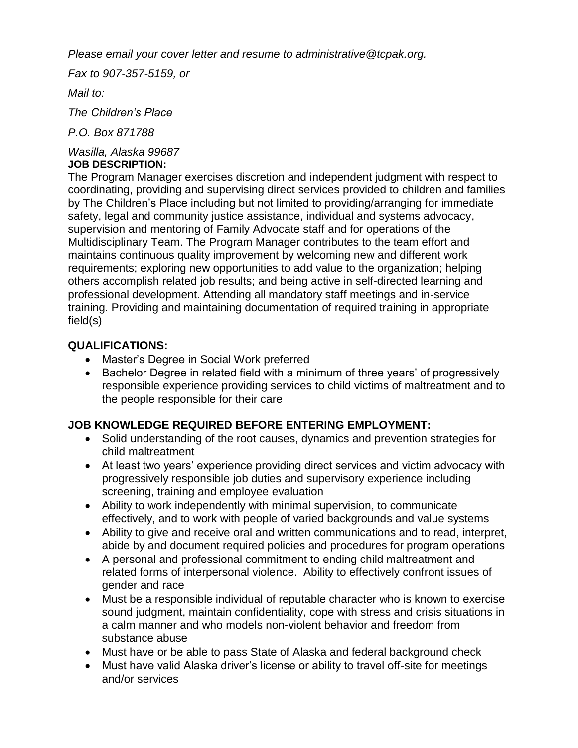*Please email your cover letter and resume to administrative@tcpak.org.*

*Fax to 907-357-5159, or*

*Mail to:*

*The Children's Place*

*P.O. Box 871788*

#### *Wasilla, Alaska 99687* **JOB DESCRIPTION:**

The Program Manager exercises discretion and independent judgment with respect to coordinating, providing and supervising direct services provided to children and families by The Children's Place including but not limited to providing/arranging for immediate safety, legal and community justice assistance, individual and systems advocacy, supervision and mentoring of Family Advocate staff and for operations of the Multidisciplinary Team. The Program Manager contributes to the team effort and maintains continuous quality improvement by welcoming new and different work requirements; exploring new opportunities to add value to the organization; helping others accomplish related job results; and being active in self-directed learning and professional development. Attending all mandatory staff meetings and in-service training. Providing and maintaining documentation of required training in appropriate field(s)

## **QUALIFICATIONS:**

- Master's Degree in Social Work preferred
- Bachelor Degree in related field with a minimum of three years' of progressively responsible experience providing services to child victims of maltreatment and to the people responsible for their care

# **JOB KNOWLEDGE REQUIRED BEFORE ENTERING EMPLOYMENT:**

- Solid understanding of the root causes, dynamics and prevention strategies for child maltreatment
- At least two years' experience providing direct services and victim advocacy with progressively responsible job duties and supervisory experience including screening, training and employee evaluation
- Ability to work independently with minimal supervision, to communicate effectively, and to work with people of varied backgrounds and value systems
- Ability to give and receive oral and written communications and to read, interpret, abide by and document required policies and procedures for program operations
- A personal and professional commitment to ending child maltreatment and related forms of interpersonal violence. Ability to effectively confront issues of gender and race
- Must be a responsible individual of reputable character who is known to exercise sound judgment, maintain confidentiality, cope with stress and crisis situations in a calm manner and who models non-violent behavior and freedom from substance abuse
- Must have or be able to pass State of Alaska and federal background check
- Must have valid Alaska driver's license or ability to travel off-site for meetings and/or services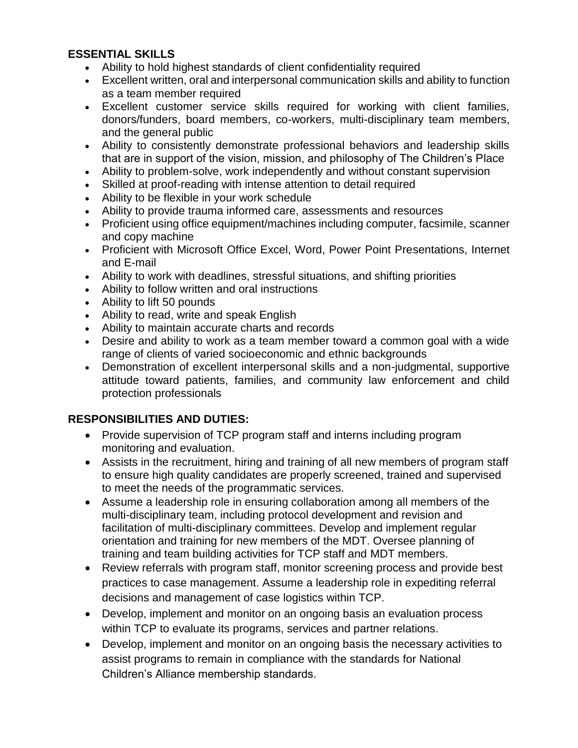### **ESSENTIAL SKILLS**

- Ability to hold highest standards of client confidentiality required
- Excellent written, oral and interpersonal communication skills and ability to function as a team member required
- Excellent customer service skills required for working with client families, donors/funders, board members, co-workers, multi-disciplinary team members, and the general public
- Ability to consistently demonstrate professional behaviors and leadership skills that are in support of the vision, mission, and philosophy of The Children's Place
- Ability to problem-solve, work independently and without constant supervision
- Skilled at proof-reading with intense attention to detail required
- Ability to be flexible in your work schedule
- Ability to provide trauma informed care, assessments and resources
- Proficient using office equipment/machines including computer, facsimile, scanner and copy machine
- Proficient with Microsoft Office Excel, Word, Power Point Presentations, Internet and E-mail
- Ability to work with deadlines, stressful situations, and shifting priorities
- Ability to follow written and oral instructions
- Ability to lift 50 pounds
- Ability to read, write and speak English
- Ability to maintain accurate charts and records
- Desire and ability to work as a team member toward a common goal with a wide range of clients of varied socioeconomic and ethnic backgrounds
- Demonstration of excellent interpersonal skills and a non-judgmental, supportive attitude toward patients, families, and community law enforcement and child protection professionals

### **RESPONSIBILITIES AND DUTIES:**

- Provide supervision of TCP program staff and interns including program monitoring and evaluation.
- Assists in the recruitment, hiring and training of all new members of program staff to ensure high quality candidates are properly screened, trained and supervised to meet the needs of the programmatic services.
- Assume a leadership role in ensuring collaboration among all members of the multi-disciplinary team, including protocol development and revision and facilitation of multi-disciplinary committees. Develop and implement regular orientation and training for new members of the MDT. Oversee planning of training and team building activities for TCP staff and MDT members.
- Review referrals with program staff, monitor screening process and provide best practices to case management. Assume a leadership role in expediting referral decisions and management of case logistics within TCP.
- Develop, implement and monitor on an ongoing basis an evaluation process within TCP to evaluate its programs, services and partner relations.
- Develop, implement and monitor on an ongoing basis the necessary activities to assist programs to remain in compliance with the standards for National Children's Alliance membership standards.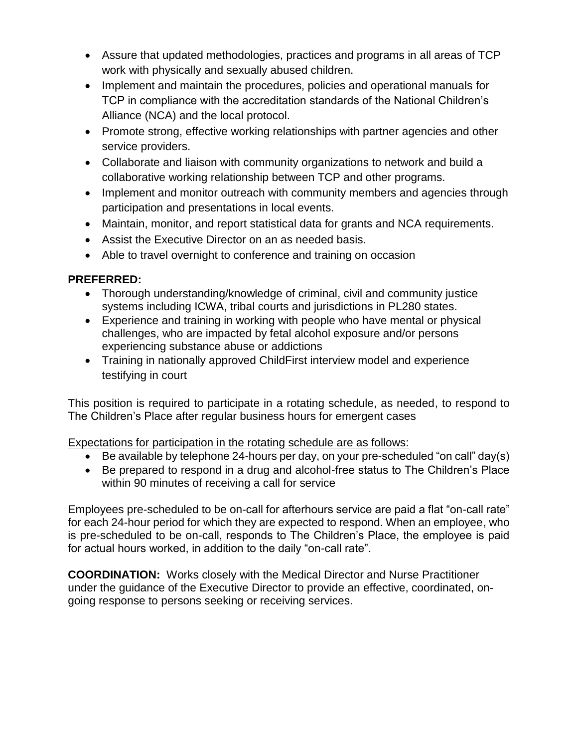- Assure that updated methodologies, practices and programs in all areas of TCP work with physically and sexually abused children.
- Implement and maintain the procedures, policies and operational manuals for TCP in compliance with the accreditation standards of the National Children's Alliance (NCA) and the local protocol.
- Promote strong, effective working relationships with partner agencies and other service providers.
- Collaborate and liaison with community organizations to network and build a collaborative working relationship between TCP and other programs.
- Implement and monitor outreach with community members and agencies through participation and presentations in local events.
- Maintain, monitor, and report statistical data for grants and NCA requirements.
- Assist the Executive Director on an as needed basis.
- Able to travel overnight to conference and training on occasion

### **PREFERRED:**

- Thorough understanding/knowledge of criminal, civil and community justice systems including ICWA, tribal courts and jurisdictions in PL280 states.
- Experience and training in working with people who have mental or physical challenges, who are impacted by fetal alcohol exposure and/or persons experiencing substance abuse or addictions
- Training in nationally approved ChildFirst interview model and experience testifying in court

This position is required to participate in a rotating schedule, as needed, to respond to The Children's Place after regular business hours for emergent cases

Expectations for participation in the rotating schedule are as follows:

- $\bullet$  Be available by telephone 24-hours per day, on your pre-scheduled "on call" day(s)
- Be prepared to respond in a drug and alcohol-free status to The Children's Place within 90 minutes of receiving a call for service

Employees pre-scheduled to be on-call for afterhours service are paid a flat "on-call rate" for each 24-hour period for which they are expected to respond. When an employee, who is pre-scheduled to be on-call, responds to The Children's Place, the employee is paid for actual hours worked, in addition to the daily "on-call rate".

**COORDINATION:** Works closely with the Medical Director and Nurse Practitioner under the guidance of the Executive Director to provide an effective, coordinated, ongoing response to persons seeking or receiving services.